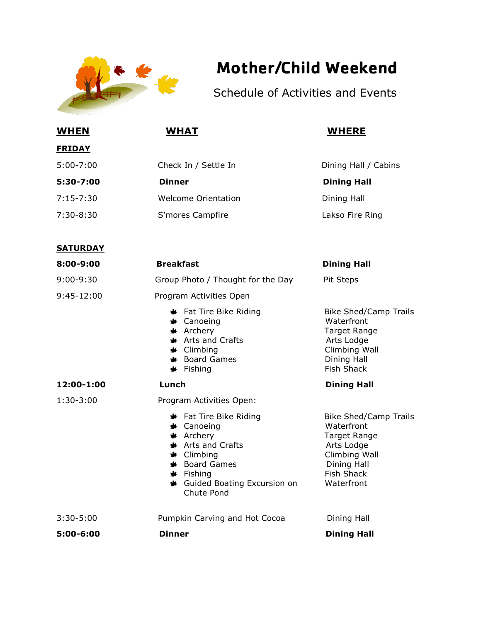

## **Mother/Child Weekend**

Schedule of Activities and Events

| <b>WHEN</b>     | <b>WHAT</b>                                                                                                                                                                                                                                                  | <b>WHERE</b>                                                                                                                                |
|-----------------|--------------------------------------------------------------------------------------------------------------------------------------------------------------------------------------------------------------------------------------------------------------|---------------------------------------------------------------------------------------------------------------------------------------------|
| <u>FRIDAY</u>   |                                                                                                                                                                                                                                                              |                                                                                                                                             |
| $5:00 - 7:00$   | Check In / Settle In                                                                                                                                                                                                                                         | Dining Hall / Cabins                                                                                                                        |
| 5:30-7:00       | <b>Dinner</b>                                                                                                                                                                                                                                                | <b>Dining Hall</b>                                                                                                                          |
| $7:15 - 7:30$   | Welcome Orientation                                                                                                                                                                                                                                          | Dining Hall                                                                                                                                 |
| 7:30-8:30       | S'mores Campfire                                                                                                                                                                                                                                             | Lakso Fire Ring                                                                                                                             |
| <b>SATURDAY</b> |                                                                                                                                                                                                                                                              |                                                                                                                                             |
| 8:00-9:00       | <b>Breakfast</b>                                                                                                                                                                                                                                             | <b>Dining Hall</b>                                                                                                                          |
| $9:00 - 9:30$   | Group Photo / Thought for the Day                                                                                                                                                                                                                            | Pit Steps                                                                                                                                   |
| $9:45-12:00$    | Program Activities Open                                                                                                                                                                                                                                      |                                                                                                                                             |
|                 | Fat Tire Bike Riding<br><b>*</b> Canoeing<br>* Archery<br><b>★</b> Arts and Crafts<br>$\triangleq$ Climbing<br><b>★</b> Board Games<br>$\clubsuit$ Fishing                                                                                                   | <b>Bike Shed/Camp Trails</b><br>Waterfront<br>Target Range<br>Arts Lodge<br>Climbing Wall<br>Dining Hall<br><b>Fish Shack</b>               |
| 12:00-1:00      | Lunch                                                                                                                                                                                                                                                        | <b>Dining Hall</b>                                                                                                                          |
| $1:30-3:00$     | Program Activities Open:<br><b>★</b> Fat Tire Bike Riding<br><b>★</b> Canoeing<br>$\star$ Archery<br><b>★</b> Arts and Crafts<br>$\triangleq$ Climbing<br><b>*</b> Board Games<br>$\blacktriangleright$ Fishing<br>Guided Boating Excursion on<br>Chute Pond | <b>Bike Shed/Camp Trails</b><br>Waterfront<br>Target Range<br>Arts Lodge<br>Climbing Wall<br>Dining Hall<br><b>Fish Shack</b><br>Waterfront |
| $3:30 - 5:00$   | Pumpkin Carving and Hot Cocoa                                                                                                                                                                                                                                | Dining Hall                                                                                                                                 |
| 5:00-6:00       | <b>Dinner</b>                                                                                                                                                                                                                                                | <b>Dining Hall</b>                                                                                                                          |